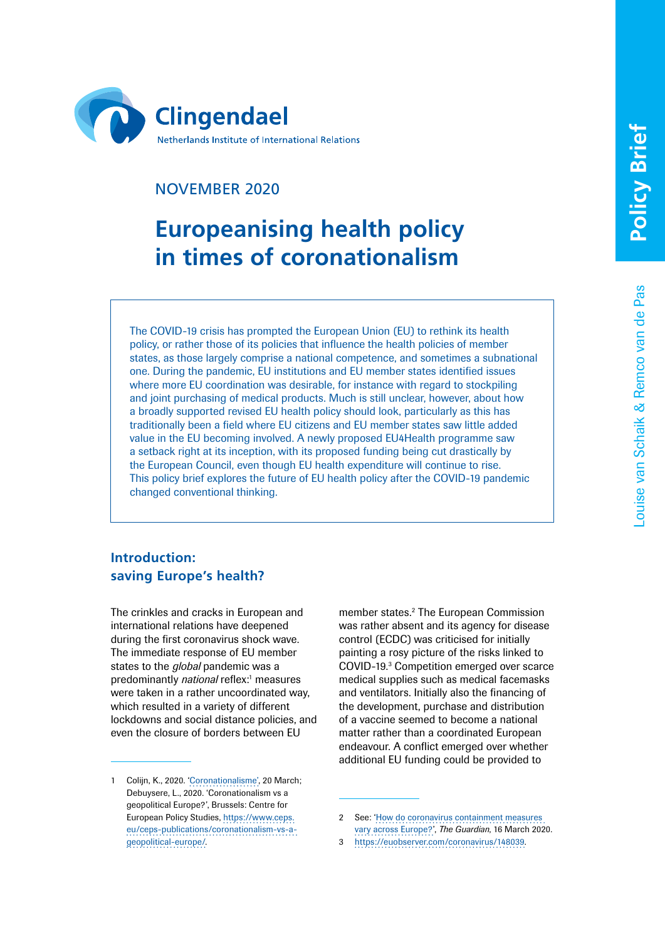Louise van Schaik & Remco van de Pas

ouise van Schaik & Remco van de Pas



# NOVEMBER 2020

# **Europeanising health policy in times of coronationalism**

The COVID-19 crisis has prompted the European Union (EU) to rethink its health policy, or rather those of its policies that influence the health policies of member states, as those largely comprise a national competence, and sometimes a subnational one. During the pandemic, EU institutions and EU member states identified issues where more EU coordination was desirable, for instance with regard to stockpiling and joint purchasing of medical products. Much is still unclear, however, about how a broadly supported revised EU health policy should look, particularly as this has traditionally been a field where EU citizens and EU member states saw little added value in the EU becoming involved. A newly proposed EU4Health programme saw a setback right at its inception, with its proposed funding being cut drastically by the European Council, even though EU health expenditure will continue to rise. This policy brief explores the future of EU health policy after the COVID-19 pandemic changed conventional thinking.

# **Introduction: saving Europe's health?**

The crinkles and cracks in European and international relations have deepened during the first coronavirus shock wave. The immediate response of EU member states to the *global* pandemic was a predominantly *national* reflex:<sup>1</sup> measures were taken in a rather uncoordinated way, which resulted in a variety of different lockdowns and social distance policies, and even the closure of borders between EU

member states.<sup>2</sup> The European Commission was rather absent and its agency for disease control (ECDC) was criticised for initially painting a rosy picture of the risks linked to COVID-19.3 Competition emerged over scarce medical supplies such as medical facemasks and ventilators. Initially also the financing of the development, purchase and distribution of a vaccine seemed to become a national matter rather than a coordinated European endeavour. A conflict emerged over whether additional EU funding could be provided to

<sup>1</sup> Colijn, K., 2020. '[Coronationalisme'](https://spectator.clingendael.org/nl/publicatie/coronationalisme), 20 March; Debuysere, L., 2020. 'Coronationalism vs a geopolitical Europe?', Brussels: Centre for European Policy Studies, [https://www.ceps.](https://www.ceps.eu/ceps-publications/coronationalism-vs-a-geopolitical-europe/) [eu/ceps-publications/coronationalism-vs-a](https://www.ceps.eu/ceps-publications/coronationalism-vs-a-geopolitical-europe/)[geopolitical-europe/.](https://www.ceps.eu/ceps-publications/coronationalism-vs-a-geopolitical-europe/)

<sup>2</sup> See: '[How do coronavirus containment measures](https://www.theguardian.com/world/2020/mar/12/how-do-coronavirus-containment-measures-vary-across-europe?CMP=Share_iOSApp_Other)  [vary across Europe?'](https://www.theguardian.com/world/2020/mar/12/how-do-coronavirus-containment-measures-vary-across-europe?CMP=Share_iOSApp_Other), *The Guardian*, 16 March 2020.

<sup>3</sup> [https://euobserver.com/coronavirus/148039.](https://euobserver.com/coronavirus/148039)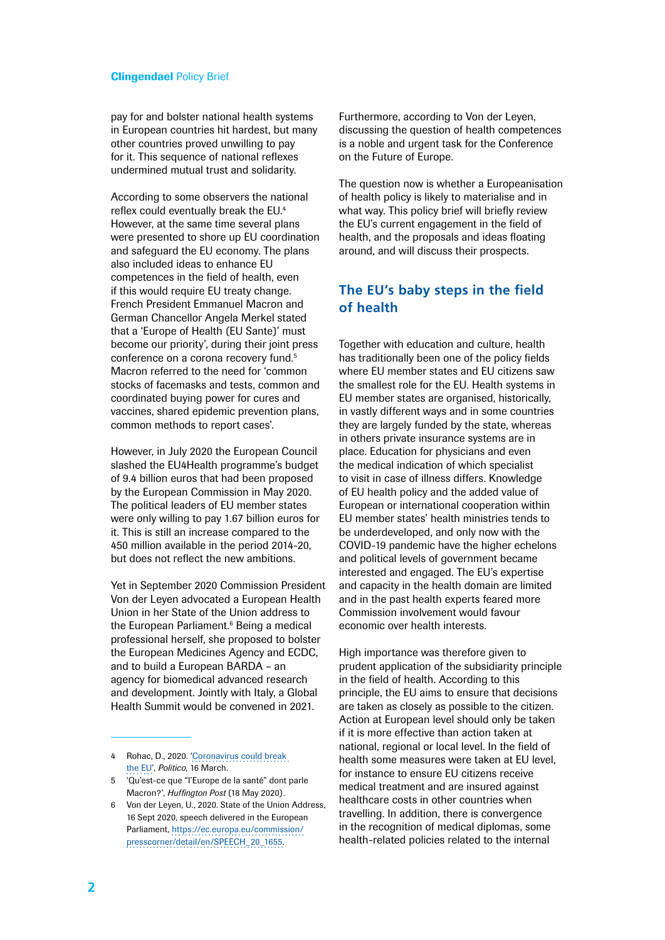pay for and bolster national health systems in European countries hit hardest, but many other countries proved unwilling to pay for it. This sequence of national reflexes undermined mutual trust and solidarity.

According to some observers the national reflex could eventually break the EU.4 However, at the same time several plans were presented to shore up EU coordination and safeguard the EU economy. The plans also included ideas to enhance EU competences in the field of health, even if this would require EU treaty change. French President Emmanuel Macron and German Chancellor Angela Merkel stated that a 'Europe of Health (EU Sante)' must become our priority', during their joint press conference on a corona recovery fund.<sup>5</sup> Macron referred to the need for 'common stocks of facemasks and tests, common and coordinated buying power for cures and vaccines, shared epidemic prevention plans, common methods to report cases'.

However, in July 2020 the European Council slashed the EU4Health programme's budget of 9.4 billion euros that had been proposed by the European Commission in May 2020. The political leaders of EU member states were only willing to pay 1.67 billion euros for it. This is still an increase compared to the 450 million available in the period 2014-20, but does not reflect the new ambitions.

Yet in September 2020 Commission President Von der Leyen advocated a European Health Union in her State of the Union address to the European Parliament.<sup>6</sup> Being a medical professional herself, she proposed to bolster the European Medicines Agency and ECDC, and to build a European BARDA – an agency for biomedical advanced research and development. Jointly with Italy, a Global Health Summit would be convened in 2021.

- 4 Rohac, D., 2020. ['Coronavirus could break](https://www.politico.eu/article/coronavirus-covid19-public-health-crisis-could-break-the-eu-european-union/)  [the](https://www.politico.eu/article/coronavirus-covid19-public-health-crisis-could-break-the-eu-european-union/) EU', *Politico*, 16 March.
- 5 'Qu'est-ce que "l'Europe de la santé" dont parle Macron?', *[Huffington Post](https://www.huffingtonpost.fr/entry/macron-europe-de-la-sante-coronavirus_fr_5ec2cff1c5b6e323a3b9cebb?utm_source=POLITICO.EU&utm_campaign=ebe2411897-EMAIL_CAMPAIGN_2020_05_29_05_00&utm_medium=email&utm_term=0_10959edeb5-ebe2411897-188969045)* (18 May 2020).
- Von der Leyen, U., 2020. State of the Union Address, 16 Sept 2020, speech delivered in the European Parliament, [https://ec.europa.eu/commission/](https://ec.europa.eu/commission/presscorner/detail/en/SPEECH_20_1655) [presscorner/detail/en/SPEECH\\_20\\_1655.](https://ec.europa.eu/commission/presscorner/detail/en/SPEECH_20_1655)

Furthermore, according to Von der Leyen, discussing the question of health competences is a noble and urgent task for the Conference on the Future of Europe.

The question now is whether a Europeanisation of health policy is likely to materialise and in what way. This policy brief will briefly review the EU's current engagement in the field of health, and the proposals and ideas floating around, and will discuss their prospects.

# **The EU's baby steps in the field of health**

Together with education and culture, health has traditionally been one of the policy fields where EU member states and EU citizens saw the smallest role for the EU. Health systems in EU member states are organised, historically, in vastly different ways and in some countries they are largely funded by the state, whereas in others private insurance systems are in place. Education for physicians and even the medical indication of which specialist to visit in case of illness differs. Knowledge of EU health policy and the added value of European or international cooperation within EU member states' health ministries tends to be underdeveloped, and only now with the COVID-19 pandemic have the higher echelons and political levels of government became interested and engaged. The EU's expertise and capacity in the health domain are limited and in the past health experts feared more Commission involvement would favour economic over health interests.

High importance was therefore given to prudent application of the subsidiarity principle in the field of health. According to this principle, the EU aims to ensure that decisions are taken as closely as possible to the citizen. Action at European level should only be taken if it is more effective than action taken at national, regional or local level. In the field of health some measures were taken at EU level, for instance to ensure EU citizens receive medical treatment and are insured against healthcare costs in other countries when travelling. In addition, there is convergence in the recognition of medical diplomas, some health-related policies related to the internal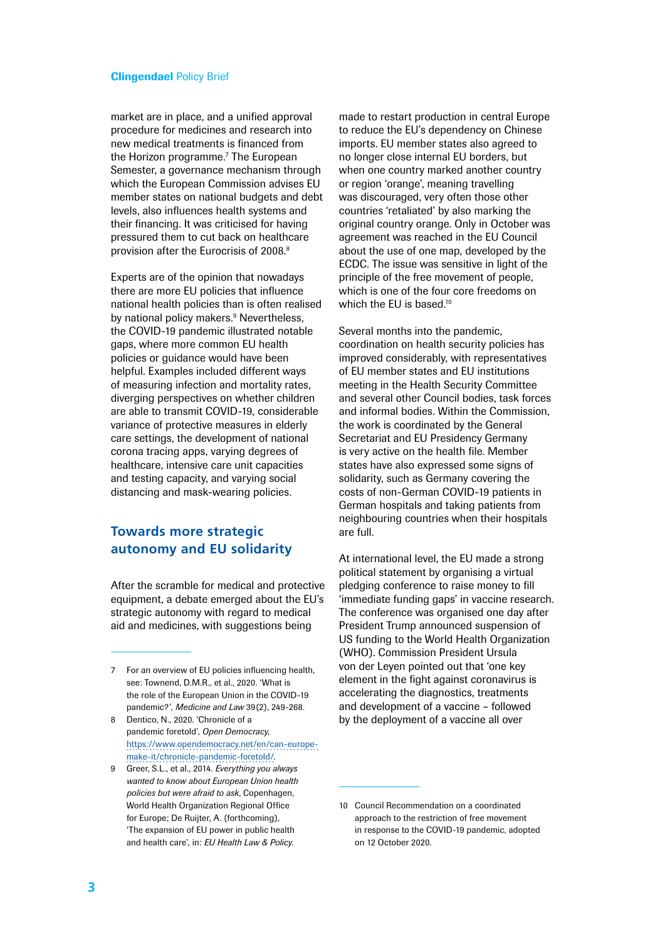market are in place, and a unified approval procedure for medicines and research into new medical treatments is financed from the Horizon programme.<sup>7</sup> The European Semester, a governance mechanism through which the European Commission advises EU member states on national budgets and debt levels, also influences health systems and their financing. It was criticised for having pressured them to cut back on healthcare provision after the Eurocrisis of 2008.<sup>8</sup>

Experts are of the opinion that nowadays there are more EU policies that influence national health policies than is often realised by national policy makers.<sup>9</sup> Nevertheless, the COVID-19 pandemic illustrated notable gaps, where more common EU health policies or guidance would have been helpful. Examples included different ways of measuring infection and mortality rates, diverging perspectives on whether children are able to transmit COVID-19, considerable variance of protective measures in elderly care settings, the development of national corona tracing apps, varying degrees of healthcare, intensive care unit capacities and testing capacity, and varying social distancing and mask-wearing policies.

# **Towards more strategic autonomy and EU solidarity**

After the scramble for medical and protective equipment, a debate emerged about the EU's strategic autonomy with regard to medical aid and medicines, with suggestions being

- 8 Dentico, N., 2020. 'Chronicle of a pandemic foretold', *Open Democracy*, [https://www.opendemocracy.net/en/can-europe](https://www.opendemocracy.net/en/can-europe-make-it/chronicle-pandemic-foretold/)[make-it/chronicle-pandemic-foretold/.](https://www.opendemocracy.net/en/can-europe-make-it/chronicle-pandemic-foretold/)
- 9 Greer, S.L., et al., 2014. *Everything you always wanted to know about European Union health policies but were afraid to ask*, Copenhagen, World Health Organization Regional Office for Europe; De Ruijter, A. (forthcoming), 'The expansion of EU power in public health and health care', in: *EU Health Law & Policy*.

made to restart production in central Europe to reduce the EU's dependency on Chinese imports. EU member states also agreed to no longer close internal EU borders, but when one country marked another country or region 'orange', meaning travelling was discouraged, very often those other countries 'retaliated' by also marking the original country orange. Only in October was agreement was reached in the EU Council about the use of one map, developed by the ECDC. The issue was sensitive in light of the principle of the free movement of people, which is one of the four core freedoms on which the EU is based.<sup>10</sup>

Several months into the pandemic, coordination on health security policies has improved considerably, with representatives of EU member states and EU institutions meeting in the Health Security Committee and several other Council bodies, task forces and informal bodies. Within the Commission, the work is coordinated by the General Secretariat and EU Presidency Germany is very active on the health file. Member states have also expressed some signs of solidarity, such as Germany covering the costs of non-German COVID-19 patients in German hospitals and taking patients from neighbouring countries when their hospitals are full.

At international level, the EU made a strong political statement by organising a virtual pledging conference to raise money to fill 'immediate funding gaps' in vaccine research. The conference was organised one day after President Trump announced suspension of US funding to the World Health Organization (WHO). Commission President Ursula von der Leyen pointed out that 'one key element in the fight against coronavirus is accelerating the diagnostics, treatments and development of a vaccine – followed by the deployment of a vaccine all over

<sup>7</sup> For an overview of EU policies influencing health, see: Townend, D.M.R., et al., 2020. 'What is the role of the European Union in the COVID-19 pandemic?', *Medicine and Law* 39(2), 249-268.

<sup>10</sup> Council Recommendation on a coordinated approach to the restriction of free movement in response to the COVID-19 pandemic, adopted on 12 October 2020.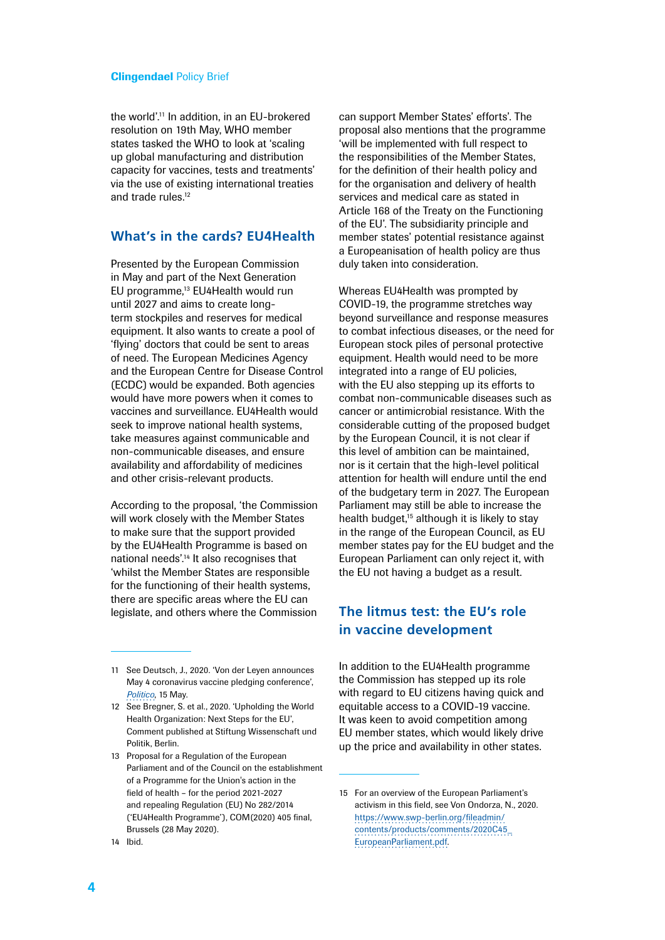the world'.11 In addition, in an EU-brokered resolution on 19th May, WHO member states tasked the WHO to look at 'scaling up global manufacturing and distribution capacity for vaccines, tests and treatments' via the use of existing international treaties and trade rules.<sup>12</sup>

## **What's in the cards? EU4Health**

Presented by the European Commission in May and part of the Next Generation EU programme,<sup>13</sup> EU4Health would run until 2027 and aims to create longterm stockpiles and reserves for medical equipment. It also wants to create a pool of 'flying' doctors that could be sent to areas of need. The European Medicines Agency and the European Centre for Disease Control (ECDC) would be expanded. Both agencies would have more powers when it comes to vaccines and surveillance. EU4Health would seek to improve national health systems, take measures against communicable and non-communicable diseases, and ensure availability and affordability of medicines and other crisis-relevant products.

According to the proposal, 'the Commission will work closely with the Member States to make sure that the support provided by the EU4Health Programme is based on national needs'.14 It also recognises that 'whilst the Member States are responsible for the functioning of their health systems, there are specific areas where the EU can legislate, and others where the Commission

13 Proposal for a Regulation of the European Parliament and of the Council on the establishment of a Programme for the Union's action in the field of health – for the period 2021-2027 and repealing Regulation (EU) No 282/2014 ('EU4Health Programme'), COM(2020) 405 final, Brussels (28 May 2020). 14 Ibid.

can support Member States' efforts'. The proposal also mentions that the programme 'will be implemented with full respect to the responsibilities of the Member States, for the definition of their health policy and for the organisation and delivery of health services and medical care as stated in Article 168 of the Treaty on the Functioning of the EU'. The subsidiarity principle and member states' potential resistance against a Europeanisation of health policy are thus duly taken into consideration.

Whereas EU4Health was prompted by COVID-19, the programme stretches way beyond surveillance and response measures to combat infectious diseases, or the need for European stock piles of personal protective equipment. Health would need to be more integrated into a range of EU policies, with the EU also stepping up its efforts to combat non-communicable diseases such as cancer or antimicrobial resistance. With the considerable cutting of the proposed budget by the European Council, it is not clear if this level of ambition can be maintained, nor is it certain that the high-level political attention for health will endure until the end of the budgetary term in 2027. The European Parliament may still be able to increase the health budget, $15$  although it is likely to stay in the range of the European Council, as EU member states pay for the EU budget and the European Parliament can only reject it, with the EU not having a budget as a result.

# **The litmus test: the EU's role in vaccine development**

In addition to the EU4Health programme the Commission has stepped up its role with regard to EU citizens having quick and equitable access to a COVID-19 vaccine. It was keen to avoid competition among EU member states, which would likely drive up the price and availability in other states.

<sup>11</sup> See Deutsch, J., 2020. 'Von der Leyen announces May 4 coronavirus vaccine pledging conference', *[Politico](https://www.politico.eu/article/von-der-leyen-announces-may-4-coronavirus-vaccine-pledging-conference/)*, 15 May.

<sup>12</sup> See Bregner, S. et al., 2020. 'Upholding the World Health Organization: Next Steps for the EU', Comment published at Stiftung Wissenschaft und Politik, Berlin.

<sup>15</sup> For an overview of the European Parliament's activism in this field, see Von Ondorza, N., 2020. [https://www.swp-berlin.org/fileadmin/](https://www.swp-berlin.org/fileadmin/contents/products/comments/2020C45_EuropeanParliament.pdf) [contents/products/comments/2020C45\\_](https://www.swp-berlin.org/fileadmin/contents/products/comments/2020C45_EuropeanParliament.pdf) [EuropeanParliament.pdf](https://www.swp-berlin.org/fileadmin/contents/products/comments/2020C45_EuropeanParliament.pdf).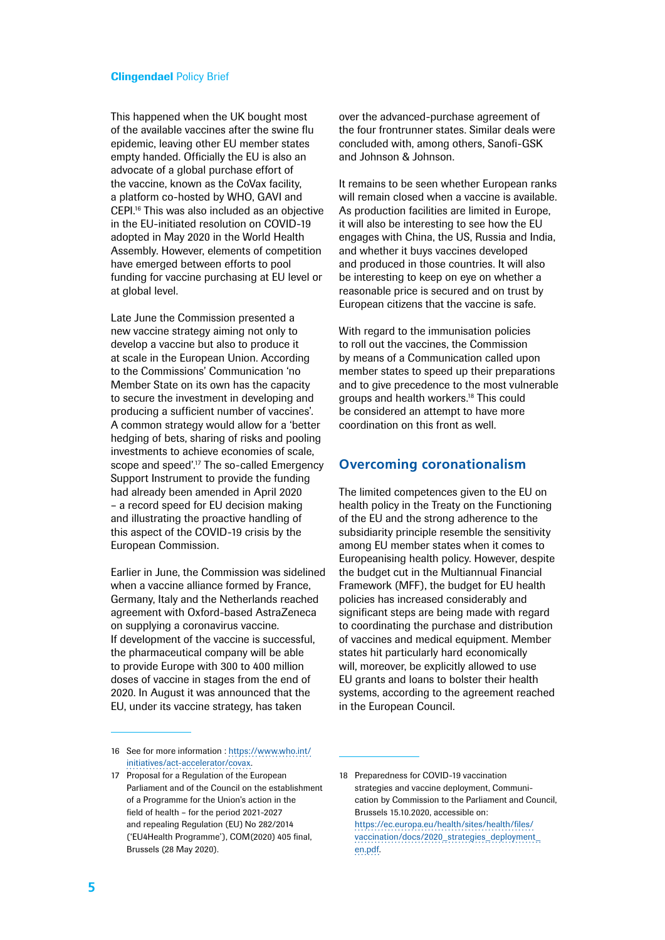This happened when the UK bought most of the available vaccines after the swine flu epidemic, leaving other EU member states empty handed. Officially the EU is also an advocate of a global purchase effort of the vaccine, known as the CoVax facility, a platform co-hosted by WHO, GAVI and CEPI.16 This was also included as an objective in the EU-initiated resolution on COVID-19 adopted in May 2020 in the World Health Assembly. However, elements of competition have emerged between efforts to pool funding for vaccine purchasing at EU level or at global level.

Late June the Commission presented a new vaccine strategy aiming not only to develop a vaccine but also to produce it at scale in the European Union. According to the Commissions' Communication 'no Member State on its own has the capacity to secure the investment in developing and producing a sufficient number of vaccines'. A common strategy would allow for a 'better hedging of bets, sharing of risks and pooling investments to achieve economies of scale, scope and speed'.<sup>17</sup> The so-called Emergency Support Instrument to provide the funding had already been amended in April 2020 – a record speed for EU decision making and illustrating the proactive handling of this aspect of the COVID-19 crisis by the European Commission.

Earlier in June, the Commission was sidelined when a vaccine alliance formed by France, Germany, Italy and the Netherlands reached agreement with Oxford-based AstraZeneca on supplying a coronavirus vaccine. If development of the vaccine is successful, the pharmaceutical company will be able to provide Europe with 300 to 400 million doses of vaccine in stages from the end of 2020. In August it was announced that the EU, under its vaccine strategy, has taken

over the advanced-purchase agreement of the four frontrunner states. Similar deals were concluded with, among others, Sanofi-GSK and Johnson & Johnson.

It remains to be seen whether European ranks will remain closed when a vaccine is available. As production facilities are limited in Europe, it will also be interesting to see how the EU engages with China, the US, Russia and India, and whether it buys vaccines developed and produced in those countries. It will also be interesting to keep on eye on whether a reasonable price is secured and on trust by European citizens that the vaccine is safe.

With regard to the immunisation policies to roll out the vaccines, the Commission by means of a Communication called upon member states to speed up their preparations and to give precedence to the most vulnerable groups and health workers.18 This could be considered an attempt to have more coordination on this front as well.

## **Overcoming coronationalism**

The limited competences given to the EU on health policy in the Treaty on the Functioning of the EU and the strong adherence to the subsidiarity principle resemble the sensitivity among EU member states when it comes to Europeanising health policy. However, despite the budget cut in the Multiannual Financial Framework (MFF), the budget for EU health policies has increased considerably and significant steps are being made with regard to coordinating the purchase and distribution of vaccines and medical equipment. Member states hit particularly hard economically will, moreover, be explicitly allowed to use EU grants and loans to bolster their health systems, according to the agreement reached in the European Council.

<sup>16</sup> See for more information : [https://www.who.int/](https://www.who.int/initiatives/act-accelerator/covax) [initiatives/act-accelerator/covax.](https://www.who.int/initiatives/act-accelerator/covax)

<sup>17</sup> Proposal for a Regulation of the European Parliament and of the Council on the establishment of a Programme for the Union's action in the field of health – for the period 2021-2027 and repealing Regulation (EU) No 282/2014 ('EU4Health Programme'), COM(2020) 405 final, Brussels (28 May 2020).

<sup>18</sup> Preparedness for COVID-19 vaccination strategies and vaccine deployment, Communication by Commission to the Parliament and Council, Brussels 15.10.2020, accessible on: [https://ec.europa.eu/health/sites/health/files/](https://ec.europa.eu/health/sites/health/files/vaccination/docs/2020_strategies_deployment_en.pdf) [vaccination/docs/2020\\_strategies\\_deployment\\_](https://ec.europa.eu/health/sites/health/files/vaccination/docs/2020_strategies_deployment_en.pdf) [en.pdf](https://ec.europa.eu/health/sites/health/files/vaccination/docs/2020_strategies_deployment_en.pdf).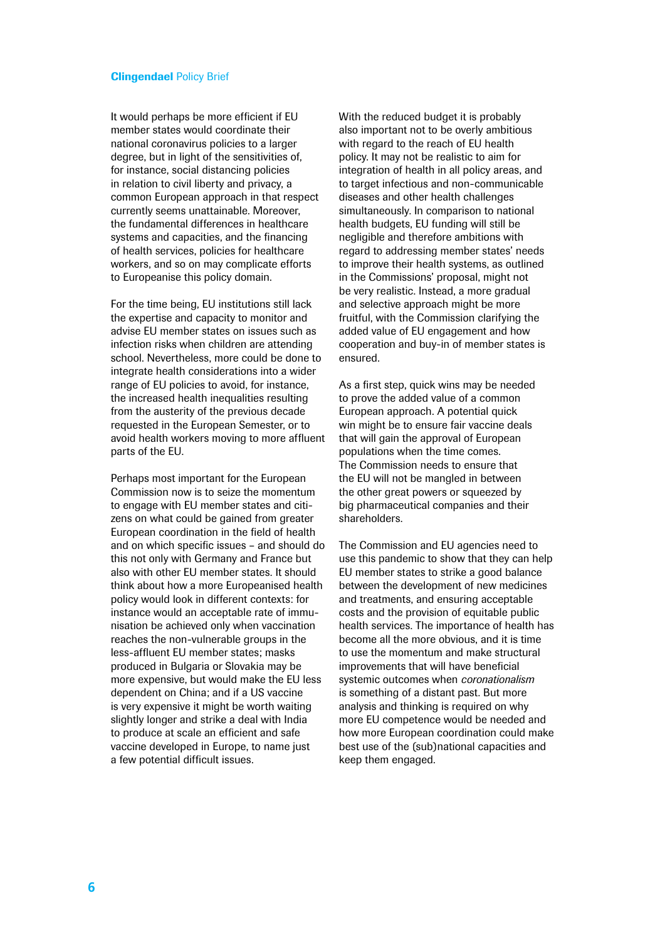It would perhaps be more efficient if EU member states would coordinate their national coronavirus policies to a larger degree, but in light of the sensitivities of, for instance, social distancing policies in relation to civil liberty and privacy, a common European approach in that respect currently seems unattainable. Moreover, the fundamental differences in healthcare systems and capacities, and the financing of health services, policies for healthcare workers, and so on may complicate efforts to Europeanise this policy domain.

For the time being, EU institutions still lack the expertise and capacity to monitor and advise EU member states on issues such as infection risks when children are attending school. Nevertheless, more could be done to integrate health considerations into a wider range of EU policies to avoid, for instance, the increased health inequalities resulting from the austerity of the previous decade requested in the European Semester, or to avoid health workers moving to more affluent parts of the EU.

Perhaps most important for the European Commission now is to seize the momentum to engage with EU member states and citizens on what could be gained from greater European coordination in the field of health and on which specific issues – and should do this not only with Germany and France but also with other EU member states. It should think about how a more Europeanised health policy would look in different contexts: for instance would an acceptable rate of immunisation be achieved only when vaccination reaches the non-vulnerable groups in the less-affluent EU member states; masks produced in Bulgaria or Slovakia may be more expensive, but would make the EU less dependent on China; and if a US vaccine is very expensive it might be worth waiting slightly longer and strike a deal with India to produce at scale an efficient and safe vaccine developed in Europe, to name just a few potential difficult issues.

With the reduced budget it is probably also important not to be overly ambitious with regard to the reach of EU health policy. It may not be realistic to aim for integration of health in all policy areas, and to target infectious and non-communicable diseases and other health challenges simultaneously. In comparison to national health budgets, EU funding will still be negligible and therefore ambitions with regard to addressing member states' needs to improve their health systems, as outlined in the Commissions' proposal, might not be very realistic. Instead, a more gradual and selective approach might be more fruitful, with the Commission clarifying the added value of EU engagement and how cooperation and buy-in of member states is ensured.

As a first step, quick wins may be needed to prove the added value of a common European approach. A potential quick win might be to ensure fair vaccine deals that will gain the approval of European populations when the time comes. The Commission needs to ensure that the EU will not be mangled in between the other great powers or squeezed by big pharmaceutical companies and their shareholders.

The Commission and EU agencies need to use this pandemic to show that they can help EU member states to strike a good balance between the development of new medicines and treatments, and ensuring acceptable costs and the provision of equitable public health services. The importance of health has become all the more obvious, and it is time to use the momentum and make structural improvements that will have beneficial systemic outcomes when *coronationalism* is something of a distant past. But more analysis and thinking is required on why more EU competence would be needed and how more European coordination could make best use of the (sub)national capacities and keep them engaged.